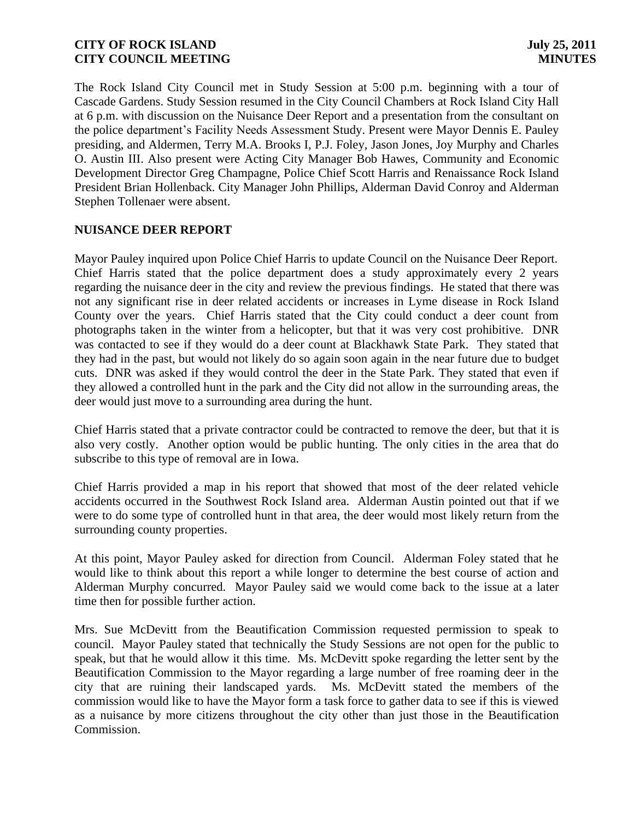The Rock Island City Council met in Study Session at 5:00 p.m. beginning with a tour of Cascade Gardens. Study Session resumed in the City Council Chambers at Rock Island City Hall at 6 p.m. with discussion on the Nuisance Deer Report and a presentation from the consultant on the police department's Facility Needs Assessment Study. Present were Mayor Dennis E. Pauley presiding, and Aldermen, Terry M.A. Brooks I, P.J. Foley, Jason Jones, Joy Murphy and Charles O. Austin III. Also present were Acting City Manager Bob Hawes, Community and Economic Development Director Greg Champagne, Police Chief Scott Harris and Renaissance Rock Island President Brian Hollenback. City Manager John Phillips, Alderman David Conroy and Alderman Stephen Tollenaer were absent.

## **NUISANCE DEER REPORT**

Mayor Pauley inquired upon Police Chief Harris to update Council on the Nuisance Deer Report. Chief Harris stated that the police department does a study approximately every 2 years regarding the nuisance deer in the city and review the previous findings. He stated that there was not any significant rise in deer related accidents or increases in Lyme disease in Rock Island County over the years. Chief Harris stated that the City could conduct a deer count from photographs taken in the winter from a helicopter, but that it was very cost prohibitive. DNR was contacted to see if they would do a deer count at Blackhawk State Park. They stated that they had in the past, but would not likely do so again soon again in the near future due to budget cuts. DNR was asked if they would control the deer in the State Park. They stated that even if they allowed a controlled hunt in the park and the City did not allow in the surrounding areas, the deer would just move to a surrounding area during the hunt.

Chief Harris stated that a private contractor could be contracted to remove the deer, but that it is also very costly. Another option would be public hunting. The only cities in the area that do subscribe to this type of removal are in Iowa.

Chief Harris provided a map in his report that showed that most of the deer related vehicle accidents occurred in the Southwest Rock Island area. Alderman Austin pointed out that if we were to do some type of controlled hunt in that area, the deer would most likely return from the surrounding county properties.

At this point, Mayor Pauley asked for direction from Council. Alderman Foley stated that he would like to think about this report a while longer to determine the best course of action and Alderman Murphy concurred. Mayor Pauley said we would come back to the issue at a later time then for possible further action.

Mrs. Sue McDevitt from the Beautification Commission requested permission to speak to council. Mayor Pauley stated that technically the Study Sessions are not open for the public to speak, but that he would allow it this time. Ms. McDevitt spoke regarding the letter sent by the Beautification Commission to the Mayor regarding a large number of free roaming deer in the city that are ruining their landscaped yards. Ms. McDevitt stated the members of the commission would like to have the Mayor form a task force to gather data to see if this is viewed as a nuisance by more citizens throughout the city other than just those in the Beautification Commission.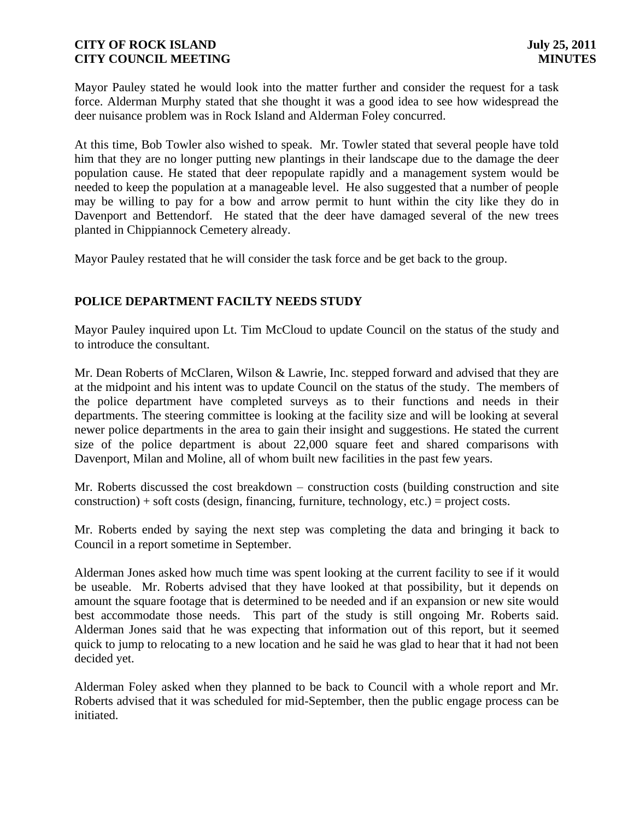Mayor Pauley stated he would look into the matter further and consider the request for a task force. Alderman Murphy stated that she thought it was a good idea to see how widespread the deer nuisance problem was in Rock Island and Alderman Foley concurred.

At this time, Bob Towler also wished to speak. Mr. Towler stated that several people have told him that they are no longer putting new plantings in their landscape due to the damage the deer population cause. He stated that deer repopulate rapidly and a management system would be needed to keep the population at a manageable level. He also suggested that a number of people may be willing to pay for a bow and arrow permit to hunt within the city like they do in Davenport and Bettendorf. He stated that the deer have damaged several of the new trees planted in Chippiannock Cemetery already.

Mayor Pauley restated that he will consider the task force and be get back to the group.

## **POLICE DEPARTMENT FACILTY NEEDS STUDY**

Mayor Pauley inquired upon Lt. Tim McCloud to update Council on the status of the study and to introduce the consultant.

Mr. Dean Roberts of McClaren, Wilson & Lawrie, Inc. stepped forward and advised that they are at the midpoint and his intent was to update Council on the status of the study. The members of the police department have completed surveys as to their functions and needs in their departments. The steering committee is looking at the facility size and will be looking at several newer police departments in the area to gain their insight and suggestions. He stated the current size of the police department is about 22,000 square feet and shared comparisons with Davenport, Milan and Moline, all of whom built new facilities in the past few years.

Mr. Roberts discussed the cost breakdown – construction costs (building construction and site  $construction$ ) + soft costs (design, financing, furniture, technology, etc.) = project costs.

Mr. Roberts ended by saying the next step was completing the data and bringing it back to Council in a report sometime in September.

Alderman Jones asked how much time was spent looking at the current facility to see if it would be useable. Mr. Roberts advised that they have looked at that possibility, but it depends on amount the square footage that is determined to be needed and if an expansion or new site would best accommodate those needs. This part of the study is still ongoing Mr. Roberts said. Alderman Jones said that he was expecting that information out of this report, but it seemed quick to jump to relocating to a new location and he said he was glad to hear that it had not been decided yet.

Alderman Foley asked when they planned to be back to Council with a whole report and Mr. Roberts advised that it was scheduled for mid-September, then the public engage process can be initiated.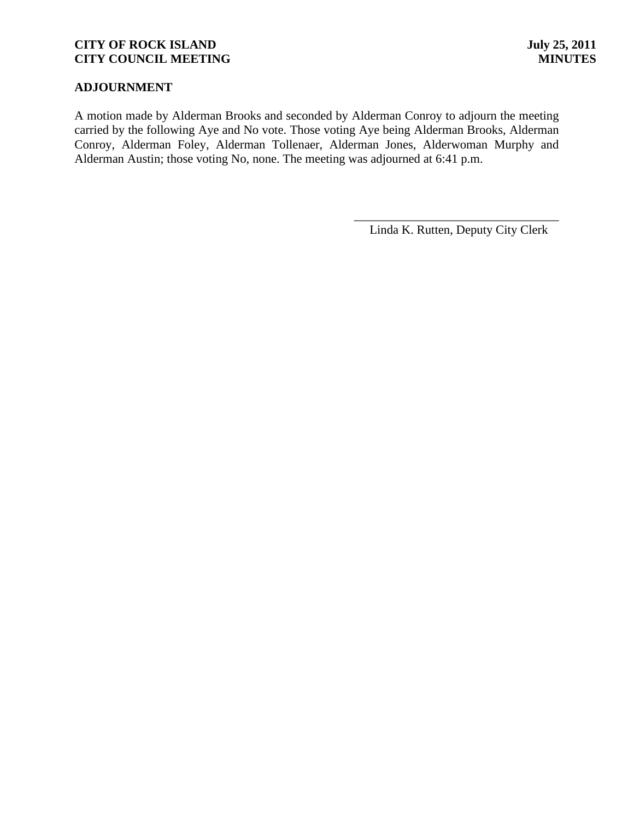## **ADJOURNMENT**

A motion made by Alderman Brooks and seconded by Alderman Conroy to adjourn the meeting carried by the following Aye and No vote. Those voting Aye being Alderman Brooks, Alderman Conroy, Alderman Foley, Alderman Tollenaer, Alderman Jones, Alderwoman Murphy and Alderman Austin; those voting No, none. The meeting was adjourned at 6:41 p.m.

> \_\_\_\_\_\_\_\_\_\_\_\_\_\_\_\_\_\_\_\_\_\_\_\_\_\_\_\_\_\_\_\_\_ Linda K. Rutten, Deputy City Clerk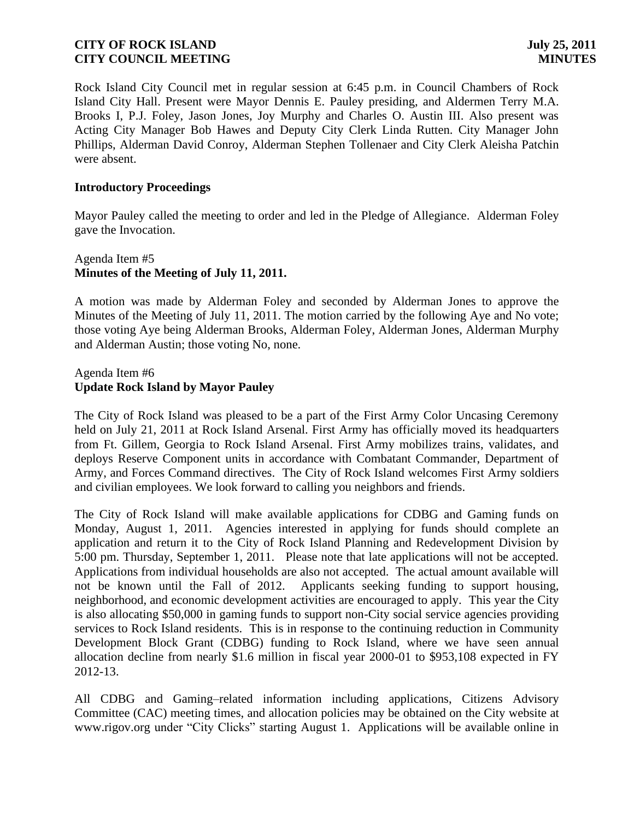Rock Island City Council met in regular session at 6:45 p.m. in Council Chambers of Rock Island City Hall. Present were Mayor Dennis E. Pauley presiding, and Aldermen Terry M.A. Brooks I, P.J. Foley, Jason Jones, Joy Murphy and Charles O. Austin III. Also present was Acting City Manager Bob Hawes and Deputy City Clerk Linda Rutten. City Manager John Phillips, Alderman David Conroy, Alderman Stephen Tollenaer and City Clerk Aleisha Patchin were absent.

### **Introductory Proceedings**

Mayor Pauley called the meeting to order and led in the Pledge of Allegiance. Alderman Foley gave the Invocation.

### Agenda Item #5 **Minutes of the Meeting of July 11, 2011.**

A motion was made by Alderman Foley and seconded by Alderman Jones to approve the Minutes of the Meeting of July 11, 2011. The motion carried by the following Aye and No vote; those voting Aye being Alderman Brooks, Alderman Foley, Alderman Jones, Alderman Murphy and Alderman Austin; those voting No, none.

### Agenda Item #6 **Update Rock Island by Mayor Pauley**

The City of Rock Island was pleased to be a part of the First Army Color Uncasing Ceremony held on July 21, 2011 at Rock Island Arsenal. First Army has officially moved its headquarters from Ft. Gillem, Georgia to Rock Island Arsenal. First Army mobilizes trains, validates, and deploys Reserve Component units in accordance with Combatant Commander, Department of Army, and Forces Command directives. The City of Rock Island welcomes First Army soldiers and civilian employees. We look forward to calling you neighbors and friends.

The City of Rock Island will make available applications for CDBG and Gaming funds on Monday, August 1, 2011. Agencies interested in applying for funds should complete an application and return it to the City of Rock Island Planning and Redevelopment Division by 5:00 pm. Thursday, September 1, 2011. Please note that late applications will not be accepted. Applications from individual households are also not accepted. The actual amount available will not be known until the Fall of 2012. Applicants seeking funding to support housing, neighborhood, and economic development activities are encouraged to apply. This year the City is also allocating \$50,000 in gaming funds to support non-City social service agencies providing services to Rock Island residents. This is in response to the continuing reduction in Community Development Block Grant (CDBG) funding to Rock Island, where we have seen annual allocation decline from nearly \$1.6 million in fiscal year 2000-01 to \$953,108 expected in FY 2012-13.

All CDBG and Gaming–related information including applications, Citizens Advisory Committee (CAC) meeting times, and allocation policies may be obtained on the City website at [www.rigov.org](http://www.rigov.org/) under "City Clicks" starting August 1. Applications will be available online in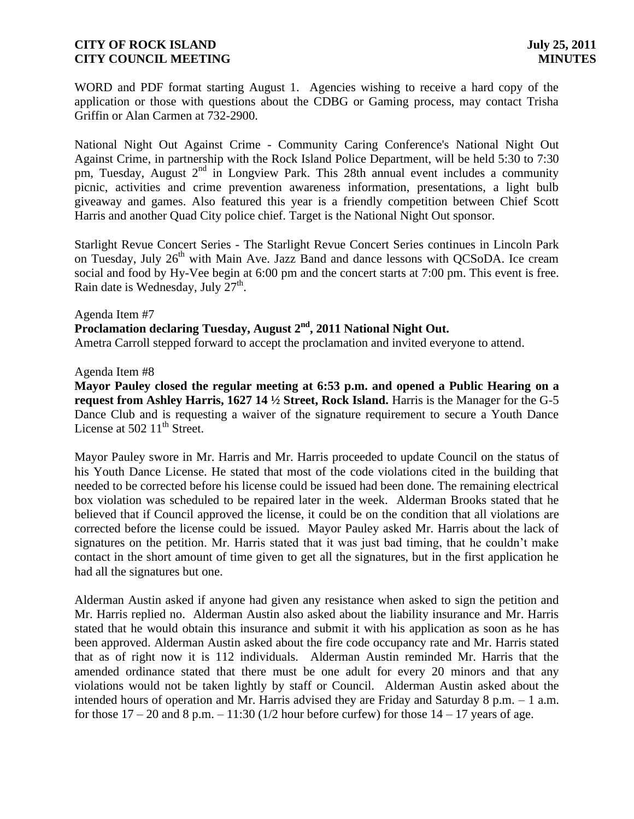WORD and PDF format starting August 1. Agencies wishing to receive a hard copy of the application or those with questions about the CDBG or Gaming process, may contact Trisha Griffin or Alan Carmen at 732-2900.

National Night Out Against Crime - Community Caring Conference's National Night Out Against Crime, in partnership with the Rock Island Police Department, will be held 5:30 to 7:30 pm, Tuesday, August  $2^{nd}$  in Longview Park. This 28th annual event includes a community picnic, activities and crime prevention awareness information, presentations, a light bulb giveaway and games. Also featured this year is a friendly competition between Chief Scott Harris and another Quad City police chief. Target is the National Night Out sponsor.

Starlight Revue Concert Series - The Starlight Revue Concert Series continues in Lincoln Park on Tuesday, July  $26<sup>th</sup>$  with Main Ave. Jazz Band and dance lessons with OCSoDA. Ice cream social and food by Hy-Vee begin at 6:00 pm and the concert starts at 7:00 pm. This event is free. Rain date is Wednesday, July  $27<sup>th</sup>$ .

Agenda Item #7

Proclamation declaring Tuesday, August 2<sup>nd</sup>, 2011 National Night Out.

Ametra Carroll stepped forward to accept the proclamation and invited everyone to attend.

### Agenda Item #8

**Mayor Pauley closed the regular meeting at 6:53 p.m. and opened a Public Hearing on a request from Ashley Harris, 1627 14 ½ Street, Rock Island.** Harris is the Manager for the G-5 Dance Club and is requesting a waiver of the signature requirement to secure a Youth Dance License at  $50211<sup>th</sup>$  Street.

Mayor Pauley swore in Mr. Harris and Mr. Harris proceeded to update Council on the status of his Youth Dance License. He stated that most of the code violations cited in the building that needed to be corrected before his license could be issued had been done. The remaining electrical box violation was scheduled to be repaired later in the week. Alderman Brooks stated that he believed that if Council approved the license, it could be on the condition that all violations are corrected before the license could be issued. Mayor Pauley asked Mr. Harris about the lack of signatures on the petition. Mr. Harris stated that it was just bad timing, that he couldn't make contact in the short amount of time given to get all the signatures, but in the first application he had all the signatures but one.

Alderman Austin asked if anyone had given any resistance when asked to sign the petition and Mr. Harris replied no. Alderman Austin also asked about the liability insurance and Mr. Harris stated that he would obtain this insurance and submit it with his application as soon as he has been approved. Alderman Austin asked about the fire code occupancy rate and Mr. Harris stated that as of right now it is 112 individuals. Alderman Austin reminded Mr. Harris that the amended ordinance stated that there must be one adult for every 20 minors and that any violations would not be taken lightly by staff or Council. Alderman Austin asked about the intended hours of operation and Mr. Harris advised they are Friday and Saturday 8 p.m. – 1 a.m. for those  $17 - 20$  and  $8$  p.m.  $- 11:30$  ( $1/2$  hour before curfew) for those  $14 - 17$  years of age.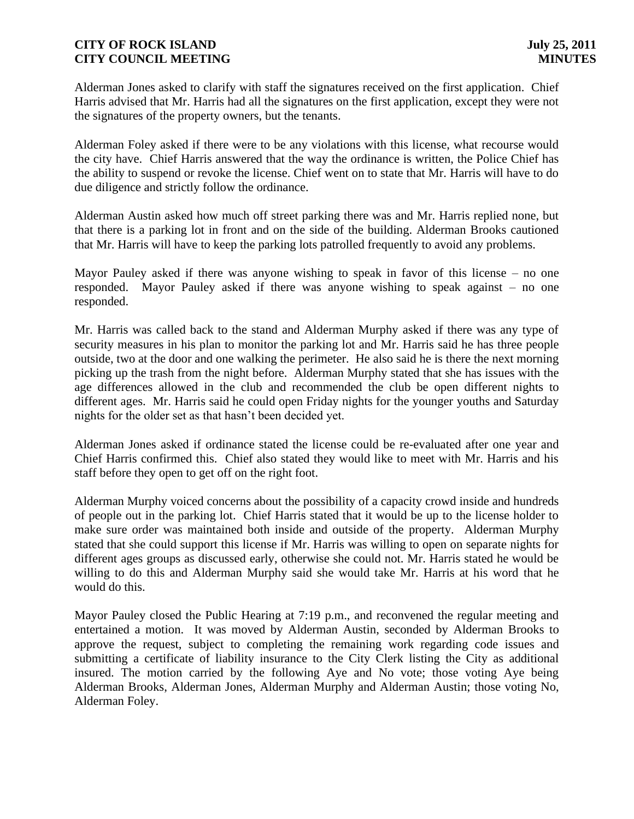Alderman Jones asked to clarify with staff the signatures received on the first application. Chief Harris advised that Mr. Harris had all the signatures on the first application, except they were not the signatures of the property owners, but the tenants.

Alderman Foley asked if there were to be any violations with this license, what recourse would the city have. Chief Harris answered that the way the ordinance is written, the Police Chief has the ability to suspend or revoke the license. Chief went on to state that Mr. Harris will have to do due diligence and strictly follow the ordinance.

Alderman Austin asked how much off street parking there was and Mr. Harris replied none, but that there is a parking lot in front and on the side of the building. Alderman Brooks cautioned that Mr. Harris will have to keep the parking lots patrolled frequently to avoid any problems.

Mayor Pauley asked if there was anyone wishing to speak in favor of this license – no one responded. Mayor Pauley asked if there was anyone wishing to speak against – no one responded.

Mr. Harris was called back to the stand and Alderman Murphy asked if there was any type of security measures in his plan to monitor the parking lot and Mr. Harris said he has three people outside, two at the door and one walking the perimeter. He also said he is there the next morning picking up the trash from the night before. Alderman Murphy stated that she has issues with the age differences allowed in the club and recommended the club be open different nights to different ages. Mr. Harris said he could open Friday nights for the younger youths and Saturday nights for the older set as that hasn't been decided yet.

Alderman Jones asked if ordinance stated the license could be re-evaluated after one year and Chief Harris confirmed this. Chief also stated they would like to meet with Mr. Harris and his staff before they open to get off on the right foot.

Alderman Murphy voiced concerns about the possibility of a capacity crowd inside and hundreds of people out in the parking lot. Chief Harris stated that it would be up to the license holder to make sure order was maintained both inside and outside of the property. Alderman Murphy stated that she could support this license if Mr. Harris was willing to open on separate nights for different ages groups as discussed early, otherwise she could not. Mr. Harris stated he would be willing to do this and Alderman Murphy said she would take Mr. Harris at his word that he would do this.

Mayor Pauley closed the Public Hearing at 7:19 p.m., and reconvened the regular meeting and entertained a motion. It was moved by Alderman Austin, seconded by Alderman Brooks to approve the request, subject to completing the remaining work regarding code issues and submitting a certificate of liability insurance to the City Clerk listing the City as additional insured. The motion carried by the following Aye and No vote; those voting Aye being Alderman Brooks, Alderman Jones, Alderman Murphy and Alderman Austin; those voting No, Alderman Foley.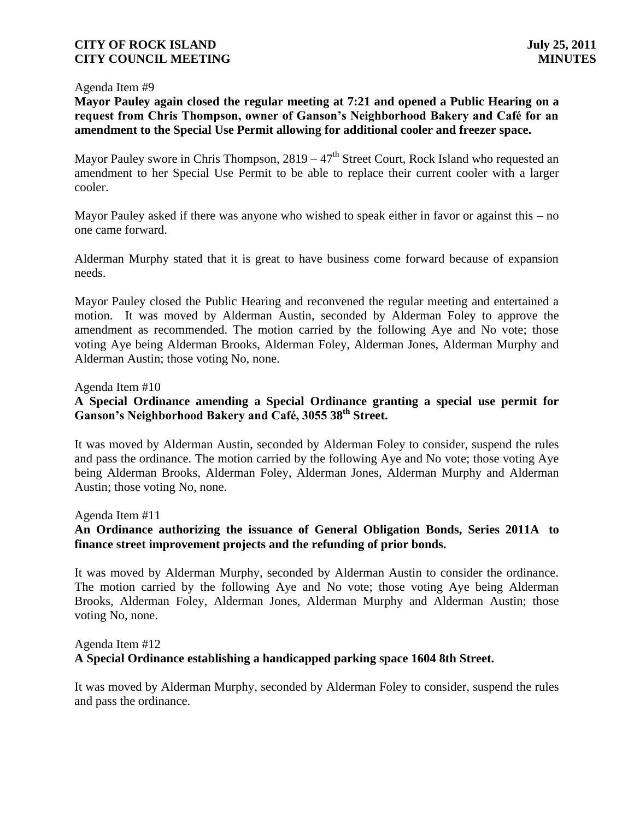### Agenda Item #9

**Mayor Pauley again closed the regular meeting at 7:21 and opened a Public Hearing on a request from Chris Thompson, owner of Ganson's Neighborhood Bakery and Café for an amendment to the Special Use Permit allowing for additional cooler and freezer space.**

Mayor Pauley swore in Chris Thompson,  $2819 - 47<sup>th</sup>$  Street Court, Rock Island who requested an amendment to her Special Use Permit to be able to replace their current cooler with a larger cooler.

Mayor Pauley asked if there was anyone who wished to speak either in favor or against this – no one came forward.

Alderman Murphy stated that it is great to have business come forward because of expansion needs.

Mayor Pauley closed the Public Hearing and reconvened the regular meeting and entertained a motion. It was moved by Alderman Austin, seconded by Alderman Foley to approve the amendment as recommended. The motion carried by the following Aye and No vote; those voting Aye being Alderman Brooks, Alderman Foley, Alderman Jones, Alderman Murphy and Alderman Austin; those voting No, none.

### Agenda Item #10

## **A Special Ordinance amending a Special Ordinance granting a special use permit for Ganson's Neighborhood Bakery and Café, 3055 38th Street.**

It was moved by Alderman Austin, seconded by Alderman Foley to consider, suspend the rules and pass the ordinance. The motion carried by the following Aye and No vote; those voting Aye being Alderman Brooks, Alderman Foley, Alderman Jones, Alderman Murphy and Alderman Austin; those voting No, none.

### Agenda Item #11

## **An Ordinance authorizing the issuance of General Obligation Bonds, Series 2011A to finance street improvement projects and the refunding of prior bonds.**

It was moved by Alderman Murphy, seconded by Alderman Austin to consider the ordinance. The motion carried by the following Aye and No vote; those voting Aye being Alderman Brooks, Alderman Foley, Alderman Jones, Alderman Murphy and Alderman Austin; those voting No, none.

## Agenda Item #12 **A Special Ordinance establishing a handicapped parking space 1604 8th Street.**

It was moved by Alderman Murphy, seconded by Alderman Foley to consider, suspend the rules and pass the ordinance.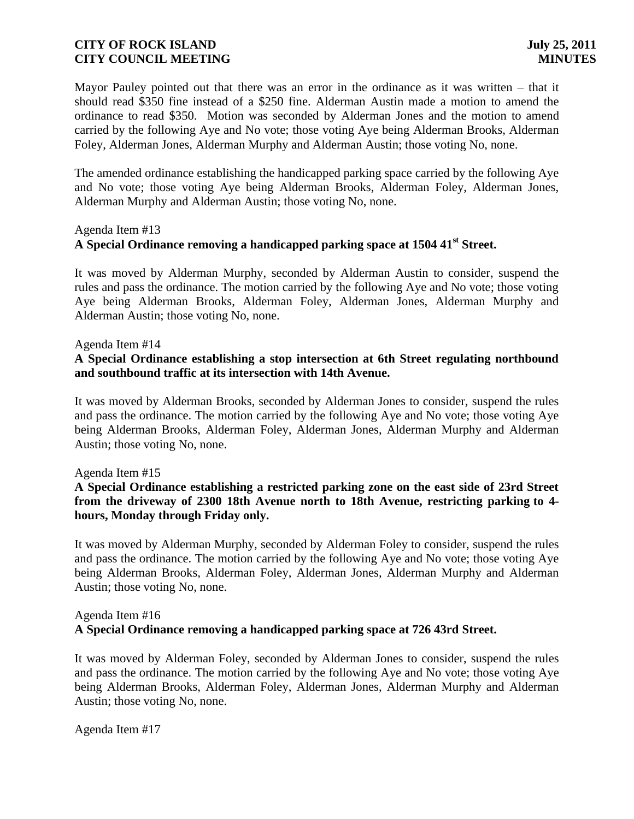Mayor Pauley pointed out that there was an error in the ordinance as it was written – that it should read \$350 fine instead of a \$250 fine. Alderman Austin made a motion to amend the ordinance to read \$350. Motion was seconded by Alderman Jones and the motion to amend carried by the following Aye and No vote; those voting Aye being Alderman Brooks, Alderman Foley, Alderman Jones, Alderman Murphy and Alderman Austin; those voting No, none.

The amended ordinance establishing the handicapped parking space carried by the following Aye and No vote; those voting Aye being Alderman Brooks, Alderman Foley, Alderman Jones, Alderman Murphy and Alderman Austin; those voting No, none.

### Agenda Item #13

# **A Special Ordinance removing a handicapped parking space at 1504 41st Street.**

It was moved by Alderman Murphy, seconded by Alderman Austin to consider, suspend the rules and pass the ordinance. The motion carried by the following Aye and No vote; those voting Aye being Alderman Brooks, Alderman Foley, Alderman Jones, Alderman Murphy and Alderman Austin; those voting No, none.

### Agenda Item #14

### **A Special Ordinance establishing a stop intersection at 6th Street regulating northbound and southbound traffic at its intersection with 14th Avenue.**

It was moved by Alderman Brooks, seconded by Alderman Jones to consider, suspend the rules and pass the ordinance. The motion carried by the following Aye and No vote; those voting Aye being Alderman Brooks, Alderman Foley, Alderman Jones, Alderman Murphy and Alderman Austin; those voting No, none.

### Agenda Item #15

## **A Special Ordinance establishing a restricted parking zone on the east side of 23rd Street from the driveway of 2300 18th Avenue north to 18th Avenue, restricting parking to 4 hours, Monday through Friday only.**

It was moved by Alderman Murphy, seconded by Alderman Foley to consider, suspend the rules and pass the ordinance. The motion carried by the following Aye and No vote; those voting Aye being Alderman Brooks, Alderman Foley, Alderman Jones, Alderman Murphy and Alderman Austin; those voting No, none.

#### Agenda Item #16 **A Special Ordinance removing a handicapped parking space at 726 43rd Street.**

It was moved by Alderman Foley, seconded by Alderman Jones to consider, suspend the rules and pass the ordinance. The motion carried by the following Aye and No vote; those voting Aye being Alderman Brooks, Alderman Foley, Alderman Jones, Alderman Murphy and Alderman Austin; those voting No, none.

Agenda Item #17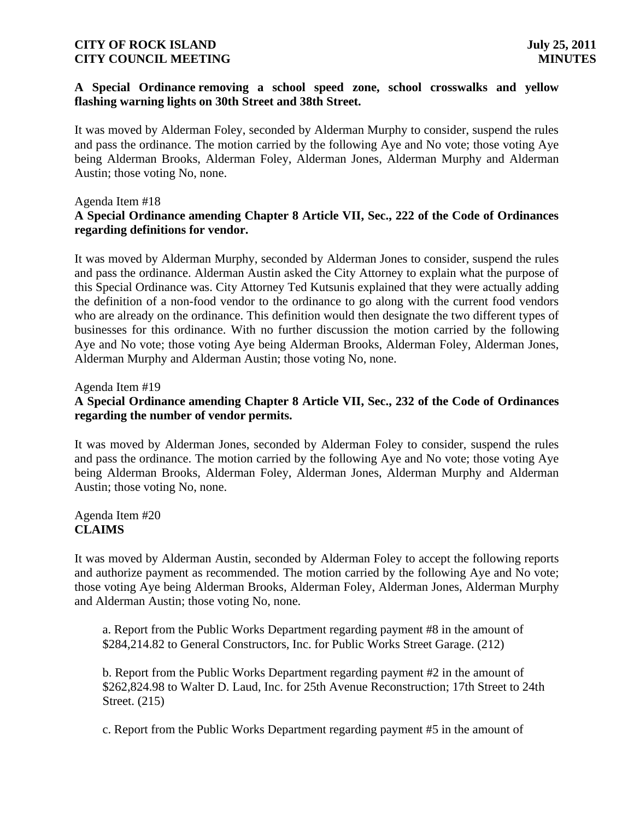### **A Special Ordinance removing a school speed zone, school crosswalks and yellow flashing warning lights on 30th Street and 38th Street.**

It was moved by Alderman Foley, seconded by Alderman Murphy to consider, suspend the rules and pass the ordinance. The motion carried by the following Aye and No vote; those voting Aye being Alderman Brooks, Alderman Foley, Alderman Jones, Alderman Murphy and Alderman Austin; those voting No, none.

### Agenda Item #18

## **A Special Ordinance amending Chapter 8 Article VII, Sec., 222 of the Code of Ordinances regarding definitions for vendor.**

It was moved by Alderman Murphy, seconded by Alderman Jones to consider, suspend the rules and pass the ordinance. Alderman Austin asked the City Attorney to explain what the purpose of this Special Ordinance was. City Attorney Ted Kutsunis explained that they were actually adding the definition of a non-food vendor to the ordinance to go along with the current food vendors who are already on the ordinance. This definition would then designate the two different types of businesses for this ordinance. With no further discussion the motion carried by the following Aye and No vote; those voting Aye being Alderman Brooks, Alderman Foley, Alderman Jones, Alderman Murphy and Alderman Austin; those voting No, none.

Agenda Item #19

## **A Special Ordinance amending Chapter 8 Article VII, Sec., 232 of the Code of Ordinances regarding the number of vendor permits.**

It was moved by Alderman Jones, seconded by Alderman Foley to consider, suspend the rules and pass the ordinance. The motion carried by the following Aye and No vote; those voting Aye being Alderman Brooks, Alderman Foley, Alderman Jones, Alderman Murphy and Alderman Austin; those voting No, none.

### Agenda Item #20 **CLAIMS**

It was moved by Alderman Austin, seconded by Alderman Foley to accept the following reports and authorize payment as recommended. The motion carried by the following Aye and No vote; those voting Aye being Alderman Brooks, Alderman Foley, Alderman Jones, Alderman Murphy and Alderman Austin; those voting No, none.

a. Report from the Public Works Department regarding payment #8 in the amount of \$284,214.82 to General Constructors, Inc. for Public Works Street Garage. (212)

b. Report from the Public Works Department regarding payment #2 in the amount of \$262,824.98 to Walter D. Laud, Inc. for 25th Avenue Reconstruction; 17th Street to 24th Street. (215)

c. Report from the Public Works Department regarding payment #5 in the amount of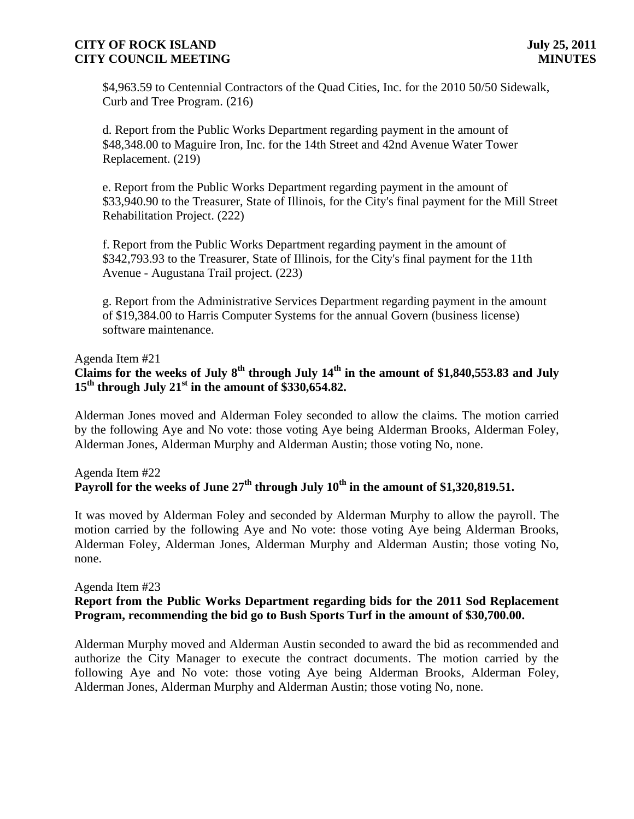\$4,963.59 to Centennial Contractors of the Quad Cities, Inc. for the 2010 50/50 Sidewalk, Curb and Tree Program. (216)

d. Report from the Public Works Department regarding payment in the amount of \$48,348.00 to Maguire Iron, Inc. for the 14th Street and 42nd Avenue Water Tower Replacement. (219)

e. Report from the Public Works Department regarding payment in the amount of \$33,940.90 to the Treasurer, State of Illinois, for the City's final payment for the Mill Street Rehabilitation Project. (222)

f. Report from the Public Works Department regarding payment in the amount of \$342,793.93 to the Treasurer, State of Illinois, for the City's final payment for the 11th Avenue - Augustana Trail project. (223)

g. Report from the Administrative Services Department regarding payment in the amount of \$19,384.00 to Harris Computer Systems for the annual Govern (business license) software maintenance.

Agenda Item #21

# **Claims for the weeks of July 8th through July 14th in the amount of \$1,840,553.83 and July 15th through July 21st in the amount of \$330,654.82.**

Alderman Jones moved and Alderman Foley seconded to allow the claims. The motion carried by the following Aye and No vote: those voting Aye being Alderman Brooks, Alderman Foley, Alderman Jones, Alderman Murphy and Alderman Austin; those voting No, none.

## Agenda Item #22 **Payroll for the weeks of June 27th through July 10th in the amount of \$1,320,819.51.**

It was moved by Alderman Foley and seconded by Alderman Murphy to allow the payroll. The motion carried by the following Aye and No vote: those voting Aye being Alderman Brooks, Alderman Foley, Alderman Jones, Alderman Murphy and Alderman Austin; those voting No, none.

### Agenda Item #23

## **Report from the Public Works Department regarding bids for the 2011 Sod Replacement Program, recommending the bid go to Bush Sports Turf in the amount of \$30,700.00.**

Alderman Murphy moved and Alderman Austin seconded to award the bid as recommended and authorize the City Manager to execute the contract documents. The motion carried by the following Aye and No vote: those voting Aye being Alderman Brooks, Alderman Foley, Alderman Jones, Alderman Murphy and Alderman Austin; those voting No, none.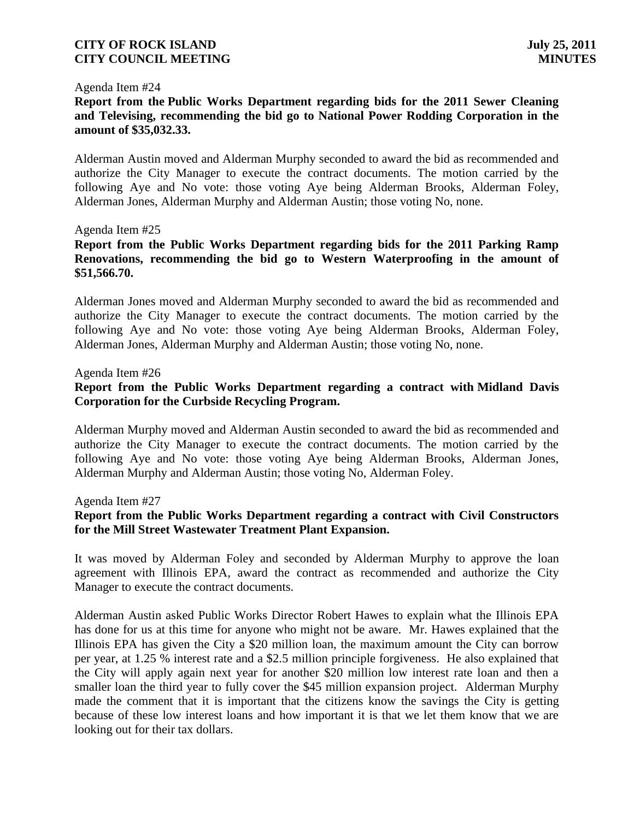#### Agenda Item #24

**Report from the Public Works Department regarding bids for the 2011 Sewer Cleaning and Televising, recommending the bid go to National Power Rodding Corporation in the amount of \$35,032.33.**

Alderman Austin moved and Alderman Murphy seconded to award the bid as recommended and authorize the City Manager to execute the contract documents. The motion carried by the following Aye and No vote: those voting Aye being Alderman Brooks, Alderman Foley, Alderman Jones, Alderman Murphy and Alderman Austin; those voting No, none.

### Agenda Item #25

## **Report from the Public Works Department regarding bids for the 2011 Parking Ramp Renovations, recommending the bid go to Western Waterproofing in the amount of \$51,566.70.**

Alderman Jones moved and Alderman Murphy seconded to award the bid as recommended and authorize the City Manager to execute the contract documents. The motion carried by the following Aye and No vote: those voting Aye being Alderman Brooks, Alderman Foley, Alderman Jones, Alderman Murphy and Alderman Austin; those voting No, none.

#### Agenda Item #26

## **Report from the Public Works Department regarding a contract with Midland Davis Corporation for the Curbside Recycling Program.**

Alderman Murphy moved and Alderman Austin seconded to award the bid as recommended and authorize the City Manager to execute the contract documents. The motion carried by the following Aye and No vote: those voting Aye being Alderman Brooks, Alderman Jones, Alderman Murphy and Alderman Austin; those voting No, Alderman Foley.

Agenda Item #27

### **Report from the Public Works Department regarding a contract with Civil Constructors for the Mill Street Wastewater Treatment Plant Expansion.**

It was moved by Alderman Foley and seconded by Alderman Murphy to approve the loan agreement with Illinois EPA, award the contract as recommended and authorize the City Manager to execute the contract documents.

Alderman Austin asked Public Works Director Robert Hawes to explain what the Illinois EPA has done for us at this time for anyone who might not be aware. Mr. Hawes explained that the Illinois EPA has given the City a \$20 million loan, the maximum amount the City can borrow per year, at 1.25 % interest rate and a \$2.5 million principle forgiveness. He also explained that the City will apply again next year for another \$20 million low interest rate loan and then a smaller loan the third year to fully cover the \$45 million expansion project. Alderman Murphy made the comment that it is important that the citizens know the savings the City is getting because of these low interest loans and how important it is that we let them know that we are looking out for their tax dollars.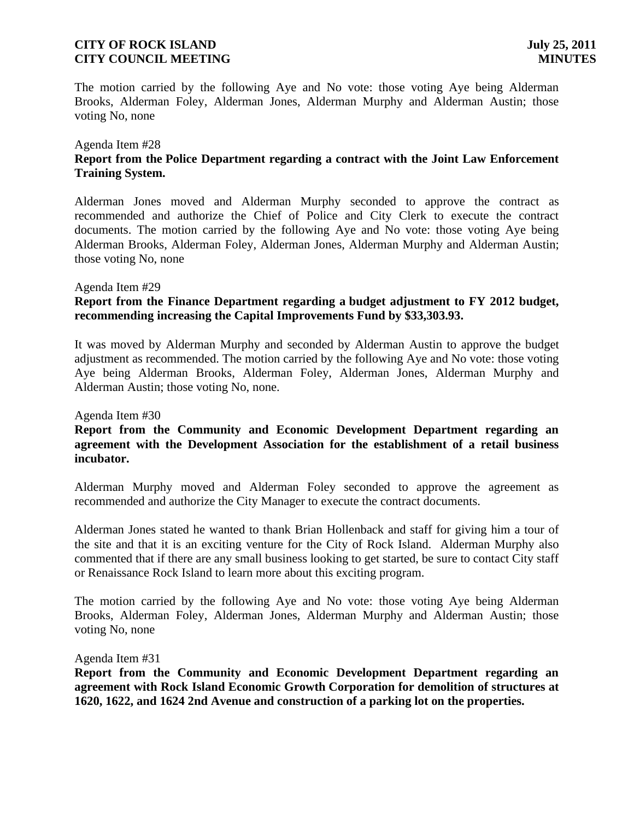The motion carried by the following Aye and No vote: those voting Aye being Alderman Brooks, Alderman Foley, Alderman Jones, Alderman Murphy and Alderman Austin; those voting No, none

## Agenda Item #28

## **Report from the Police Department regarding a contract with the Joint Law Enforcement Training System.**

Alderman Jones moved and Alderman Murphy seconded to approve the contract as recommended and authorize the Chief of Police and City Clerk to execute the contract documents. The motion carried by the following Aye and No vote: those voting Aye being Alderman Brooks, Alderman Foley, Alderman Jones, Alderman Murphy and Alderman Austin; those voting No, none

### Agenda Item #29

## **Report from the Finance Department regarding a budget adjustment to FY 2012 budget, recommending increasing the Capital Improvements Fund by \$33,303.93.**

It was moved by Alderman Murphy and seconded by Alderman Austin to approve the budget adjustment as recommended. The motion carried by the following Aye and No vote: those voting Aye being Alderman Brooks, Alderman Foley, Alderman Jones, Alderman Murphy and Alderman Austin; those voting No, none.

### Agenda Item #30

## **Report from the Community and Economic Development Department regarding an agreement with the Development Association for the establishment of a retail business incubator.**

Alderman Murphy moved and Alderman Foley seconded to approve the agreement as recommended and authorize the City Manager to execute the contract documents.

Alderman Jones stated he wanted to thank Brian Hollenback and staff for giving him a tour of the site and that it is an exciting venture for the City of Rock Island. Alderman Murphy also commented that if there are any small business looking to get started, be sure to contact City staff or Renaissance Rock Island to learn more about this exciting program.

The motion carried by the following Aye and No vote: those voting Aye being Alderman Brooks, Alderman Foley, Alderman Jones, Alderman Murphy and Alderman Austin; those voting No, none

### Agenda Item #31

**Report from the Community and Economic Development Department regarding an agreement with Rock Island Economic Growth Corporation for demolition of structures at 1620, 1622, and 1624 2nd Avenue and construction of a parking lot on the properties.**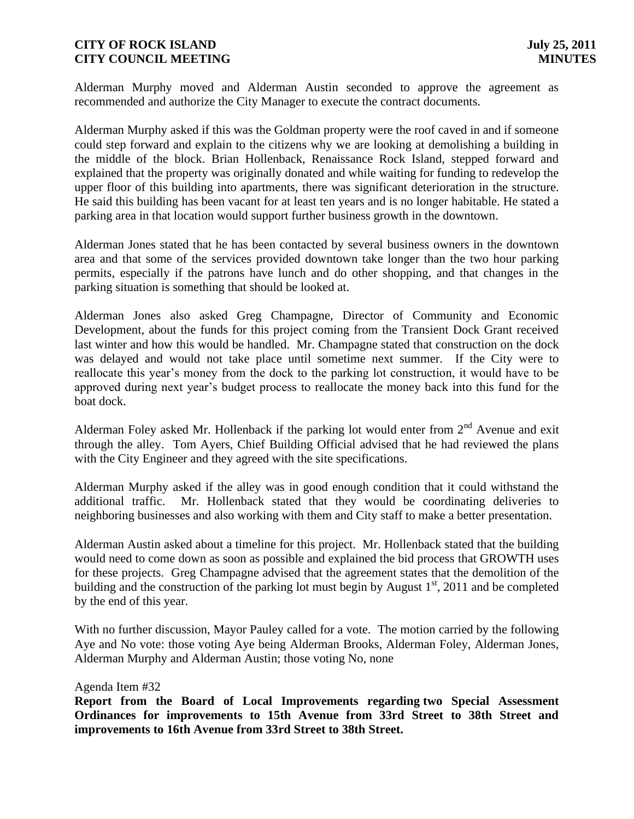Alderman Murphy moved and Alderman Austin seconded to approve the agreement as recommended and authorize the City Manager to execute the contract documents.

Alderman Murphy asked if this was the Goldman property were the roof caved in and if someone could step forward and explain to the citizens why we are looking at demolishing a building in the middle of the block. Brian Hollenback, Renaissance Rock Island, stepped forward and explained that the property was originally donated and while waiting for funding to redevelop the upper floor of this building into apartments, there was significant deterioration in the structure. He said this building has been vacant for at least ten years and is no longer habitable. He stated a parking area in that location would support further business growth in the downtown.

Alderman Jones stated that he has been contacted by several business owners in the downtown area and that some of the services provided downtown take longer than the two hour parking permits, especially if the patrons have lunch and do other shopping, and that changes in the parking situation is something that should be looked at.

Alderman Jones also asked Greg Champagne, Director of Community and Economic Development, about the funds for this project coming from the Transient Dock Grant received last winter and how this would be handled. Mr. Champagne stated that construction on the dock was delayed and would not take place until sometime next summer. If the City were to reallocate this year's money from the dock to the parking lot construction, it would have to be approved during next year's budget process to reallocate the money back into this fund for the boat dock.

Alderman Foley asked Mr. Hollenback if the parking lot would enter from  $2<sup>nd</sup>$  Avenue and exit through the alley. Tom Ayers, Chief Building Official advised that he had reviewed the plans with the City Engineer and they agreed with the site specifications.

Alderman Murphy asked if the alley was in good enough condition that it could withstand the additional traffic. Mr. Hollenback stated that they would be coordinating deliveries to neighboring businesses and also working with them and City staff to make a better presentation.

Alderman Austin asked about a timeline for this project. Mr. Hollenback stated that the building would need to come down as soon as possible and explained the bid process that GROWTH uses for these projects. Greg Champagne advised that the agreement states that the demolition of the building and the construction of the parking lot must begin by August  $1<sup>st</sup>$ , 2011 and be completed by the end of this year.

With no further discussion, Mayor Pauley called for a vote. The motion carried by the following Aye and No vote: those voting Aye being Alderman Brooks, Alderman Foley, Alderman Jones, Alderman Murphy and Alderman Austin; those voting No, none

### Agenda Item #32

**Report from the Board of Local Improvements regarding two Special Assessment Ordinances for improvements to 15th Avenue from 33rd Street to 38th Street and improvements to 16th Avenue from 33rd Street to 38th Street.**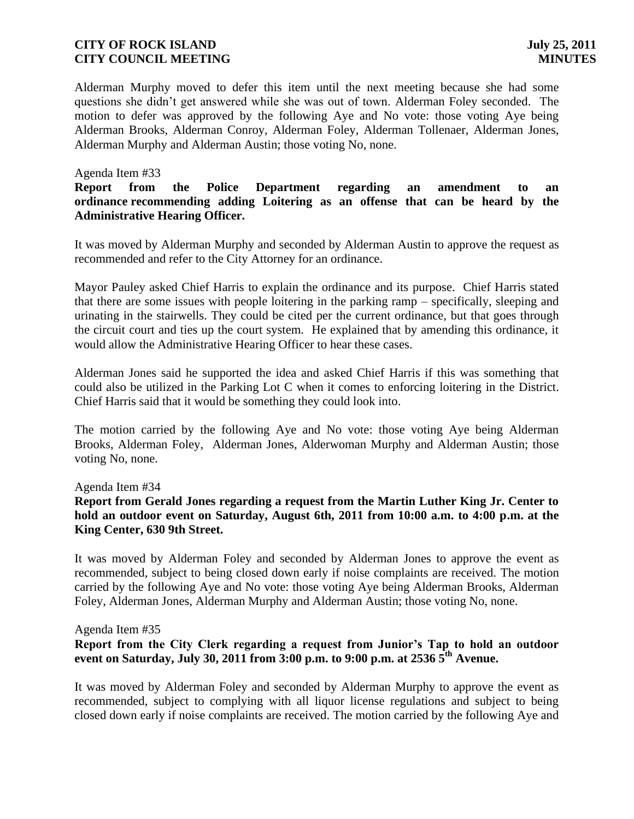Alderman Murphy moved to defer this item until the next meeting because she had some questions she didn't get answered while she was out of town. Alderman Foley seconded. The motion to defer was approved by the following Aye and No vote: those voting Aye being Alderman Brooks, Alderman Conroy, Alderman Foley, Alderman Tollenaer, Alderman Jones, Alderman Murphy and Alderman Austin; those voting No, none.

### Agenda Item #33

## **Report from the Police Department regarding an amendment to an ordinance recommending adding Loitering as an offense that can be heard by the Administrative Hearing Officer.**

It was moved by Alderman Murphy and seconded by Alderman Austin to approve the request as recommended and refer to the City Attorney for an ordinance.

Mayor Pauley asked Chief Harris to explain the ordinance and its purpose. Chief Harris stated that there are some issues with people loitering in the parking ramp – specifically, sleeping and urinating in the stairwells. They could be cited per the current ordinance, but that goes through the circuit court and ties up the court system. He explained that by amending this ordinance, it would allow the Administrative Hearing Officer to hear these cases.

Alderman Jones said he supported the idea and asked Chief Harris if this was something that could also be utilized in the Parking Lot C when it comes to enforcing loitering in the District. Chief Harris said that it would be something they could look into.

The motion carried by the following Aye and No vote: those voting Aye being Alderman Brooks, Alderman Foley, Alderman Jones, Alderwoman Murphy and Alderman Austin; those voting No, none.

### Agenda Item #34

## **Report from Gerald Jones regarding a request from the Martin Luther King Jr. Center to hold an outdoor event on Saturday, August 6th, 2011 from 10:00 a.m. to 4:00 p.m. at the King Center, 630 9th Street.**

It was moved by Alderman Foley and seconded by Alderman Jones to approve the event as recommended, subject to being closed down early if noise complaints are received. The motion carried by the following Aye and No vote: those voting Aye being Alderman Brooks, Alderman Foley, Alderman Jones, Alderman Murphy and Alderman Austin; those voting No, none.

### Agenda Item #35

## **Report from the City Clerk regarding a request from Junior's Tap to hold an outdoor event on Saturday, July 30, 2011 from 3:00 p.m. to 9:00 p.m. at 2536 5th Avenue.**

It was moved by Alderman Foley and seconded by Alderman Murphy to approve the event as recommended, subject to complying with all liquor license regulations and subject to being closed down early if noise complaints are received. The motion carried by the following Aye and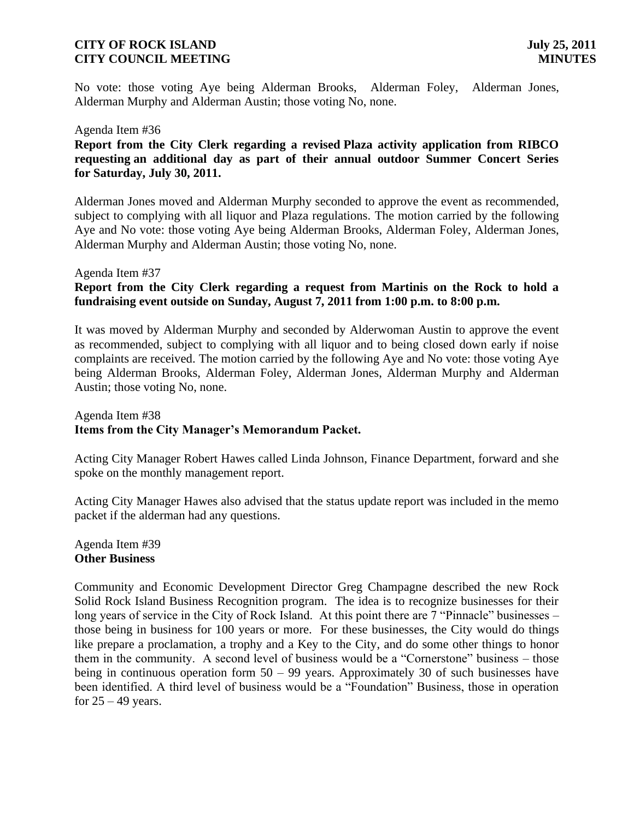No vote: those voting Aye being Alderman Brooks, Alderman Foley, Alderman Jones, Alderman Murphy and Alderman Austin; those voting No, none.

### Agenda Item #36

**Report from the City Clerk regarding a revised Plaza activity application from RIBCO requesting an additional day as part of their annual outdoor Summer Concert Series for Saturday, July 30, 2011.** 

Alderman Jones moved and Alderman Murphy seconded to approve the event as recommended, subject to complying with all liquor and Plaza regulations. The motion carried by the following Aye and No vote: those voting Aye being Alderman Brooks, Alderman Foley, Alderman Jones, Alderman Murphy and Alderman Austin; those voting No, none.

### Agenda Item #37

## **Report from the City Clerk regarding a request from Martinis on the Rock to hold a fundraising event outside on Sunday, August 7, 2011 from 1:00 p.m. to 8:00 p.m.**

It was moved by Alderman Murphy and seconded by Alderwoman Austin to approve the event as recommended, subject to complying with all liquor and to being closed down early if noise complaints are received. The motion carried by the following Aye and No vote: those voting Aye being Alderman Brooks, Alderman Foley, Alderman Jones, Alderman Murphy and Alderman Austin; those voting No, none.

## Agenda Item #38 **Items from the City Manager's Memorandum Packet.**

Acting City Manager Robert Hawes called Linda Johnson, Finance Department, forward and she spoke on the monthly management report.

Acting City Manager Hawes also advised that the status update report was included in the memo packet if the alderman had any questions.

### Agenda Item #39 **Other Business**

Community and Economic Development Director Greg Champagne described the new Rock Solid Rock Island Business Recognition program. The idea is to recognize businesses for their long years of service in the City of Rock Island. At this point there are 7 "Pinnacle" businesses – those being in business for 100 years or more. For these businesses, the City would do things like prepare a proclamation, a trophy and a Key to the City, and do some other things to honor them in the community. A second level of business would be a "Cornerstone" business – those being in continuous operation form 50 – 99 years. Approximately 30 of such businesses have been identified. A third level of business would be a "Foundation" Business, those in operation for  $25 - 49$  years.